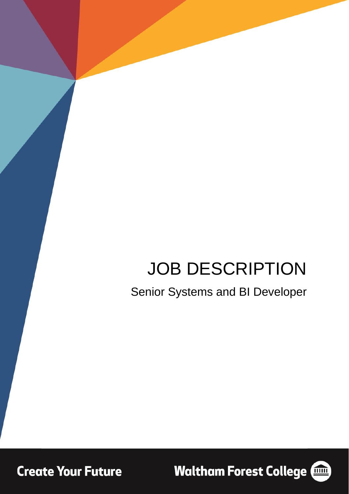# JOB DESCRIPTION

Senior Systems and BI Developer

**Create Your Future** 

**Waltham Forest College (1986)** 

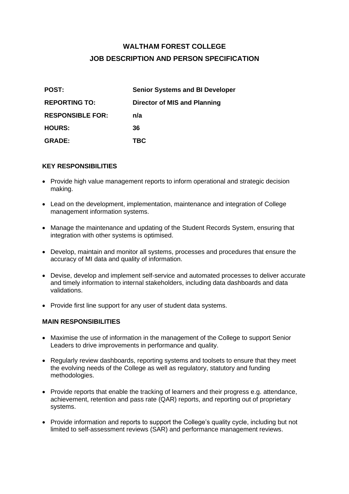## **WALTHAM FOREST COLLEGE JOB DESCRIPTION AND PERSON SPECIFICATION**

| <b>POST:</b>            | <b>Senior Systems and BI Developer</b> |
|-------------------------|----------------------------------------|
| <b>REPORTING TO:</b>    | Director of MIS and Planning           |
| <b>RESPONSIBLE FOR:</b> | n/a                                    |
| <b>HOURS:</b>           | 36                                     |
| <b>GRADE:</b>           | <b>TBC</b>                             |

#### **KEY RESPONSIBILITIES**

- Provide high value management reports to inform operational and strategic decision making.
- Lead on the development, implementation, maintenance and integration of College management information systems.
- Manage the maintenance and updating of the Student Records System, ensuring that integration with other systems is optimised.
- Develop, maintain and monitor all systems, processes and procedures that ensure the accuracy of MI data and quality of information.
- Devise, develop and implement self-service and automated processes to deliver accurate and timely information to internal stakeholders, including data dashboards and data validations.
- Provide first line support for any user of student data systems.

#### **MAIN RESPONSIBILITIES**

- Maximise the use of information in the management of the College to support Senior Leaders to drive improvements in performance and quality.
- Regularly review dashboards, reporting systems and toolsets to ensure that they meet the evolving needs of the College as well as regulatory, statutory and funding methodologies.
- Provide reports that enable the tracking of learners and their progress e.g. attendance, achievement, retention and pass rate (QAR) reports, and reporting out of proprietary systems.
- Provide information and reports to support the College's quality cycle, including but not limited to self-assessment reviews (SAR) and performance management reviews.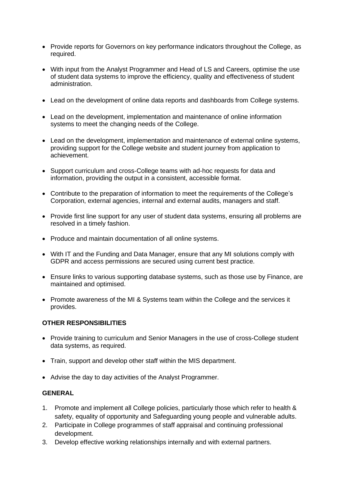- Provide reports for Governors on key performance indicators throughout the College, as required.
- With input from the Analyst Programmer and Head of LS and Careers, optimise the use of student data systems to improve the efficiency, quality and effectiveness of student administration.
- Lead on the development of online data reports and dashboards from College systems.
- Lead on the development, implementation and maintenance of online information systems to meet the changing needs of the College.
- Lead on the development, implementation and maintenance of external online systems, providing support for the College website and student journey from application to achievement.
- Support curriculum and cross-College teams with ad-hoc requests for data and information, providing the output in a consistent, accessible format.
- Contribute to the preparation of information to meet the requirements of the College's Corporation, external agencies, internal and external audits, managers and staff.
- Provide first line support for any user of student data systems, ensuring all problems are resolved in a timely fashion.
- Produce and maintain documentation of all online systems.
- With IT and the Funding and Data Manager, ensure that any MI solutions comply with GDPR and access permissions are secured using current best practice.
- Ensure links to various supporting database systems, such as those use by Finance, are maintained and optimised.
- Promote awareness of the MI & Systems team within the College and the services it provides.

#### **OTHER RESPONSIBILITIES**

- Provide training to curriculum and Senior Managers in the use of cross-College student data systems, as required.
- Train, support and develop other staff within the MIS department.
- Advise the day to day activities of the Analyst Programmer.

#### **GENERAL**

- 1. Promote and implement all College policies, particularly those which refer to health & safety, equality of opportunity and Safeguarding young people and vulnerable adults.
- 2. Participate in College programmes of staff appraisal and continuing professional development.
- 3. Develop effective working relationships internally and with external partners.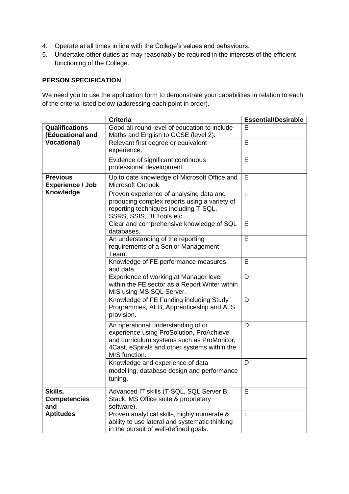- 4. Operate at all times in line with the College's values and behaviours.
- 5. Undertake other duties as may reasonably be required in the interests of the efficient functioning of the College.

### **PERSON SPECIFICATION**

We need you to use the application form to demonstrate your capabilities in relation to each of the criteria listed below (addressing each point in order).

|                                            | <b>Criteria</b>                                                                                                                                                                               | <b>Essential/Desirable</b> |
|--------------------------------------------|-----------------------------------------------------------------------------------------------------------------------------------------------------------------------------------------------|----------------------------|
| <b>Qualifications</b><br>(Educational and  | Good all-round level of education to include<br>Maths and English to GCSE (level 2).                                                                                                          | E                          |
| <b>Vocational)</b>                         | Relevant first degree or equivalent<br>experience.                                                                                                                                            | E                          |
|                                            | Evidence of significant continuous<br>professional development.                                                                                                                               | E                          |
| <b>Previous</b><br><b>Experience / Job</b> | Up to date knowledge of Microsoft Office and<br>Microsoft Outlook.                                                                                                                            | E                          |
| Knowledge                                  | Proven experience of analysing data and<br>producing complex reports using a variety of<br>reporting techniques including T-SQL,<br>SSRS, SSIS, BI Tools etc.                                 | E                          |
|                                            | Clear and comprehensive knowledge of SQL<br>databases.                                                                                                                                        | E                          |
|                                            | An understanding of the reporting<br>requirements of a Senior Management<br>Team.                                                                                                             | E                          |
|                                            | Knowledge of FE performance measures<br>and data.                                                                                                                                             | E                          |
|                                            | Experience of working at Manager level<br>within the FE sector as a Report Writer within<br>MIS using MS SQL Server.                                                                          | D                          |
|                                            | Knowledge of FE Funding including Study<br>Programmes, AEB, Apprenticeship and ALS<br>provision.                                                                                              | D                          |
|                                            | An operational understanding of or<br>experience using ProSolution, ProAchieve<br>and curriculum systems such as ProMonitor,<br>4Cast, eSpirals and other systems within the<br>MIS function. | D                          |
|                                            | Knowledge and experience of data<br>modelling, database design and performance<br>tuning.                                                                                                     | D                          |
| Skills,<br><b>Competencies</b><br>and      | Advanced IT skills (T-SQL, SQL Server BI<br>Stack, MS Office suite & proprietary<br>software).                                                                                                | E                          |
| <b>Aptitudes</b>                           | Proven analytical skills, highly numerate &<br>ability to use lateral and systematic thinking<br>in the pursuit of well-defined goals.                                                        | E                          |